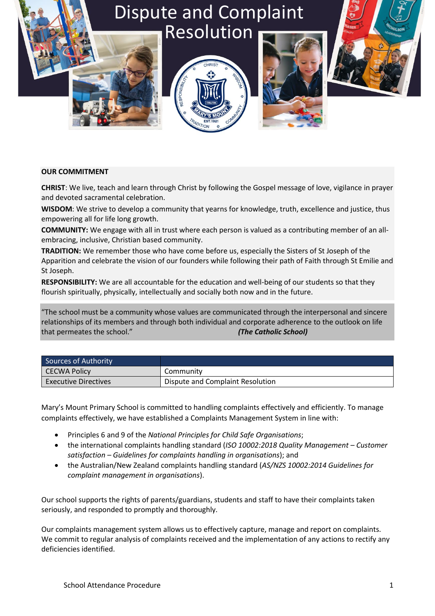# Dispute and Complaint Resolution







# **OUR COMMITMENT**

**CHRIST**: We live, teach and learn through Christ by following the Gospel message of love, vigilance in prayer and devoted sacramental celebration.

**WISDOM**: We strive to develop a community that yearns for knowledge, truth, excellence and justice, thus empowering all for life long growth.

**COMMUNITY:** We engage with all in trust where each person is valued as a contributing member of an allembracing, inclusive, Christian based community.

**TRADITION:** We remember those who have come before us, especially the Sisters of St Joseph of the Apparition and celebrate the vision of our founders while following their path of Faith through St Emilie and St Joseph.

**RESPONSIBILITY:** We are all accountable for the education and well-being of our students so that they flourish spiritually, physically, intellectually and socially both now and in the future.

"The school must be a community whose values are communicated through the interpersonal and sincere relationships of its members and through both individual and corporate adherence to the outlook on life that permeates the school." *(The Catholic School)*

| Sources of Authority        |                                  |
|-----------------------------|----------------------------------|
| CECWA Policy                | Community                        |
| <b>Executive Directives</b> | Dispute and Complaint Resolution |

Mary's Mount Primary School is committed to handling complaints effectively and efficiently. To manage complaints effectively, we have established a Complaints Management System in line with:

- Principles 6 and 9 of the *National Principles for Child Safe Organisations*;
- the international complaints handling standard (*ISO 10002:2018 Quality Management – Customer satisfaction – Guidelines for complaints handling in organisations*); and
- the Australian/New Zealand complaints handling standard (*AS/NZS 10002:2014 Guidelines for complaint management in organisations*).

Our school supports the rights of parents/guardians, students and staff to have their complaints taken seriously, and responded to promptly and thoroughly.

Our complaints management system allows us to effectively capture, manage and report on complaints. We commit to regular analysis of complaints received and the implementation of any actions to rectify any deficiencies identified.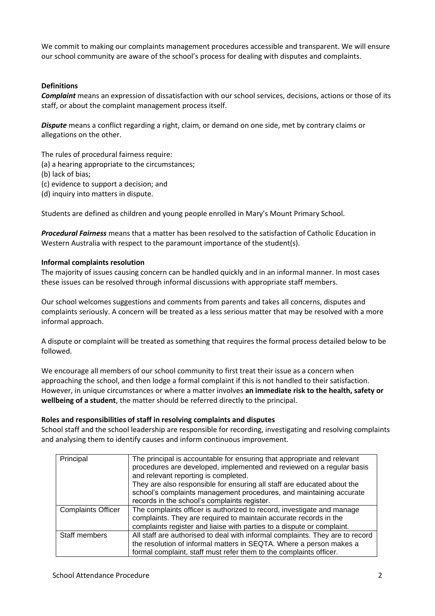We commit to making our complaints management procedures accessible and transparent. We will ensure our school community are aware of the school's process for dealing with disputes and complaints.

### **Definitions**

*Complaint* means an expression of dissatisfaction with our school services, decisions, actions or those of its staff, or about the complaint management process itself.

*Dispute* means a conflict regarding a right, claim, or demand on one side, met by contrary claims or allegations on the other.

The rules of procedural fairness require:

(a) a hearing appropriate to the circumstances;

- (b) lack of bias;
- (c) evidence to support a decision; and
- (d) inquiry into matters in dispute.

Students are defined as children and young people enrolled in Mary's Mount Primary School.

*Procedural Fairness* means that a matter has been resolved to the satisfaction of Catholic Education in Western Australia with respect to the paramount importance of the student(s).

#### **Informal complaints resolution**

The majority of issues causing concern can be handled quickly and in an informal manner. In most cases these issues can be resolved through informal discussions with appropriate staff members.

Our school welcomes suggestions and comments from parents and takes all concerns, disputes and complaints seriously. A concern will be treated as a less serious matter that may be resolved with a more informal approach.

A dispute or complaint will be treated as something that requires the formal process detailed below to be followed.

We encourage all members of our school community to first treat their issue as a concern when approaching the school, and then lodge a formal complaint if this is not handled to their satisfaction. However, in unique circumstances or where a matter involves **an immediate risk to the health, safety or wellbeing of a student**, the matter should be referred directly to the principal.

#### **Roles and responsibilities of staff in resolving complaints and disputes**

School staff and the school leadership are responsible for recording, investigating and resolving complaints and analysing them to identify causes and inform continuous improvement.

| Principal                 | The principal is accountable for ensuring that appropriate and relevant<br>procedures are developed, implemented and reviewed on a regular basis<br>and relevant reporting is completed.<br>They are also responsible for ensuring all staff are educated about the<br>school's complaints management procedures, and maintaining accurate<br>records in the school's complaints register. |
|---------------------------|--------------------------------------------------------------------------------------------------------------------------------------------------------------------------------------------------------------------------------------------------------------------------------------------------------------------------------------------------------------------------------------------|
| <b>Complaints Officer</b> | The complaints officer is authorized to record, investigate and manage<br>complaints. They are required to maintain accurate records in the<br>complaints register and liaise with parties to a dispute or complaint.                                                                                                                                                                      |
| Staff members             | All staff are authorised to deal with informal complaints. They are to record<br>the resolution of informal matters in SEQTA. Where a person makes a<br>formal complaint, staff must refer them to the complaints officer.                                                                                                                                                                 |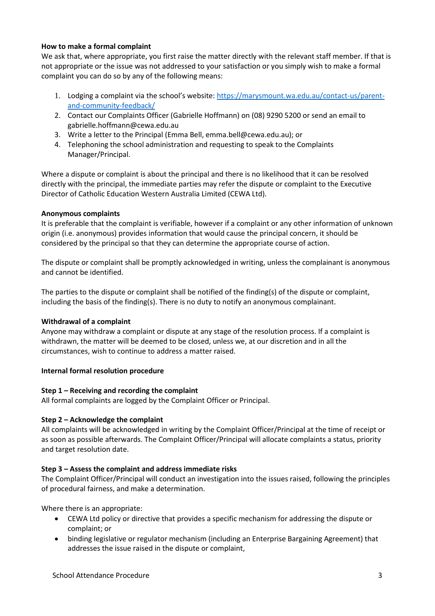## **How to make a formal complaint**

We ask that, where appropriate, you first raise the matter directly with the relevant staff member. If that is not appropriate or the issue was not addressed to your satisfaction or you simply wish to make a formal complaint you can do so by any of the following means:

- 1. Lodging a complaint via the school's website: [https://marysmount.wa.edu.au/contact-us/parent](https://marysmount.wa.edu.au/contact-us/parent-and-community-feedback/)[and-community-feedback/](https://marysmount.wa.edu.au/contact-us/parent-and-community-feedback/)
- 2. Contact our Complaints Officer (Gabrielle Hoffmann) on (08) 9290 5200 or send an email to gabrielle.hoffmann@cewa.edu.au
- 3. Write a letter to the Principal (Emma Bell, emma.bell@cewa.edu.au); or
- 4. Telephoning the school administration and requesting to speak to the Complaints Manager/Principal.

Where a dispute or complaint is about the principal and there is no likelihood that it can be resolved directly with the principal, the immediate parties may refer the dispute or complaint to the Executive Director of Catholic Education Western Australia Limited (CEWA Ltd).

## **Anonymous complaints**

It is preferable that the complaint is verifiable, however if a complaint or any other information of unknown origin (i.e. anonymous) provides information that would cause the principal concern, it should be considered by the principal so that they can determine the appropriate course of action.

The dispute or complaint shall be promptly acknowledged in writing, unless the complainant is anonymous and cannot be identified.

The parties to the dispute or complaint shall be notified of the finding(s) of the dispute or complaint, including the basis of the finding(s). There is no duty to notify an anonymous complainant.

#### **Withdrawal of a complaint**

Anyone may withdraw a complaint or dispute at any stage of the resolution process. If a complaint is withdrawn, the matter will be deemed to be closed, unless we, at our discretion and in all the circumstances, wish to continue to address a matter raised.

#### **Internal formal resolution procedure**

#### **Step 1 – Receiving and recording the complaint**

All formal complaints are logged by the Complaint Officer or Principal.

# **Step 2 – Acknowledge the complaint**

All complaints will be acknowledged in writing by the Complaint Officer/Principal at the time of receipt or as soon as possible afterwards. The Complaint Officer/Principal will allocate complaints a status, priority and target resolution date.

#### **Step 3 – Assess the complaint and address immediate risks**

The Complaint Officer/Principal will conduct an investigation into the issues raised, following the principles of procedural fairness, and make a determination.

Where there is an appropriate:

- CEWA Ltd policy or directive that provides a specific mechanism for addressing the dispute or complaint; or
- binding legislative or regulator mechanism (including an Enterprise Bargaining Agreement) that addresses the issue raised in the dispute or complaint,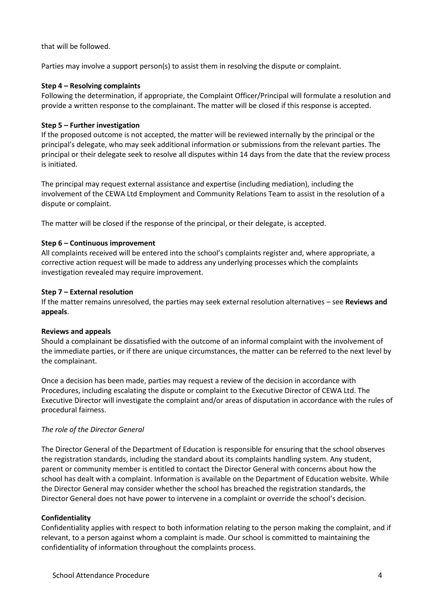that will be followed.

Parties may involve a support person(s) to assist them in resolving the dispute or complaint.

# **Step 4 – Resolving complaints**

Following the determination, if appropriate, the Complaint Officer/Principal will formulate a resolution and provide a written response to the complainant. The matter will be closed if this response is accepted.

## **Step 5 – Further investigation**

If the proposed outcome is not accepted, the matter will be reviewed internally by the principal or the principal's delegate, who may seek additional information or submissions from the relevant parties. The principal or their delegate seek to resolve all disputes within 14 days from the date that the review process is initiated.

The principal may request external assistance and expertise (including mediation), including the involvement of the CEWA Ltd Employment and Community Relations Team to assist in the resolution of a dispute or complaint.

The matter will be closed if the response of the principal, or their delegate, is accepted.

## **Step 6 – Continuous improvement**

All complaints received will be entered into the school's complaints register and, where appropriate, a corrective action request will be made to address any underlying processes which the complaints investigation revealed may require improvement.

#### **Step 7 – External resolution**

If the matter remains unresolved, the parties may seek external resolution alternatives – see **Reviews and appeals**.

#### **Reviews and appeals**

Should a complainant be dissatisfied with the outcome of an informal complaint with the involvement of the immediate parties, or if there are unique circumstances, the matter can be referred to the next level by the complainant.

Once a decision has been made, parties may request a review of the decision in accordance with Procedures, including escalating the dispute or complaint to the Executive Director of CEWA Ltd. The Executive Director will investigate the complaint and/or areas of disputation in accordance with the rules of procedural fairness.

#### *The role of the Director General*

The Director General of the Department of Education is responsible for ensuring that the school observes the registration standards, including the standard about its complaints handling system. Any student, parent or community member is entitled to contact the Director General with concerns about how the school has dealt with a complaint. Information is available on the Department of Education website. While the Director General may consider whether the school has breached the registration standards, the Director General does not have power to intervene in a complaint or override the school's decision.

# **Confidentiality**

Confidentiality applies with respect to both information relating to the person making the complaint, and if relevant, to a person against whom a complaint is made. Our school is committed to maintaining the confidentiality of information throughout the complaints process.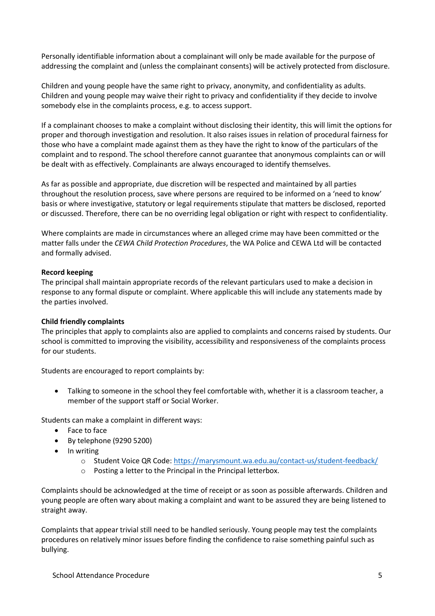Personally identifiable information about a complainant will only be made available for the purpose of addressing the complaint and (unless the complainant consents) will be actively protected from disclosure.

Children and young people have the same right to privacy, anonymity, and confidentiality as adults. Children and young people may waive their right to privacy and confidentiality if they decide to involve somebody else in the complaints process, e.g. to access support.

If a complainant chooses to make a complaint without disclosing their identity, this will limit the options for proper and thorough investigation and resolution. It also raises issues in relation of procedural fairness for those who have a complaint made against them as they have the right to know of the particulars of the complaint and to respond. The school therefore cannot guarantee that anonymous complaints can or will be dealt with as effectively. Complainants are always encouraged to identify themselves.

As far as possible and appropriate, due discretion will be respected and maintained by all parties throughout the resolution process, save where persons are required to be informed on a 'need to know' basis or where investigative, statutory or legal requirements stipulate that matters be disclosed, reported or discussed. Therefore, there can be no overriding legal obligation or right with respect to confidentiality.

Where complaints are made in circumstances where an alleged crime may have been committed or the matter falls under the *CEWA Child Protection Procedures*, the WA Police and CEWA Ltd will be contacted and formally advised.

#### **Record keeping**

The principal shall maintain appropriate records of the relevant particulars used to make a decision in response to any formal dispute or complaint. Where applicable this will include any statements made by the parties involved.

#### **Child friendly complaints**

The principles that apply to complaints also are applied to complaints and concerns raised by students. Our school is committed to improving the visibility, accessibility and responsiveness of the complaints process for our students.

Students are encouraged to report complaints by:

• Talking to someone in the school they feel comfortable with, whether it is a classroom teacher, a member of the support staff or Social Worker.

Students can make a complaint in different ways:

- Face to face
- By telephone (9290 5200)
- In writing
	- o Student Voice QR Code:<https://marysmount.wa.edu.au/contact-us/student-feedback/>
	- o Posting a letter to the Principal in the Principal letterbox.

Complaints should be acknowledged at the time of receipt or as soon as possible afterwards. Children and young people are often wary about making a complaint and want to be assured they are being listened to straight away.

Complaints that appear trivial still need to be handled seriously. Young people may test the complaints procedures on relatively minor issues before finding the confidence to raise something painful such as bullying.